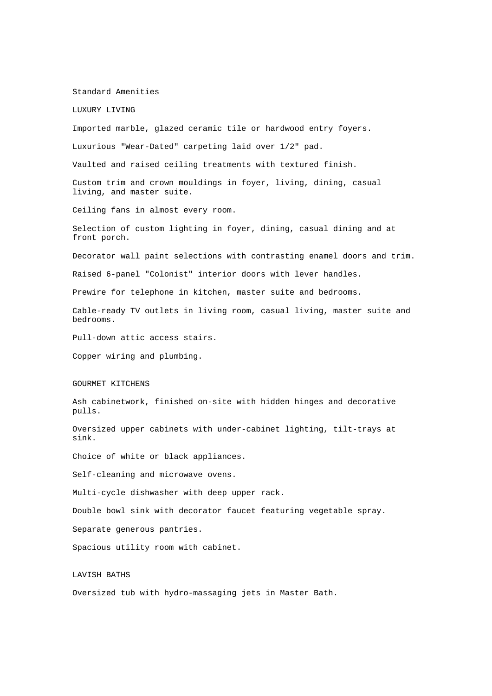#### Standard Amenities

LUXURY LIVING

Imported marble, glazed ceramic tile or hardwood entry foyers.

Luxurious "Wear-Dated" carpeting laid over 1/2" pad.

Vaulted and raised ceiling treatments with textured finish.

Custom trim and crown mouldings in foyer, living, dining, casual living, and master suite.

Ceiling fans in almost every room.

Selection of custom lighting in foyer, dining, casual dining and at front porch.

Decorator wall paint selections with contrasting enamel doors and trim.

Raised 6-panel "Colonist" interior doors with lever handles.

Prewire for telephone in kitchen, master suite and bedrooms.

Cable-ready TV outlets in living room, casual living, master suite and bedrooms.

Pull-down attic access stairs.

Copper wiring and plumbing.

## GOURMET KITCHENS

Ash cabinetwork, finished on-site with hidden hinges and decorative pulls.

Oversized upper cabinets with under-cabinet lighting, tilt-trays at sink.

Choice of white or black appliances.

Self-cleaning and microwave ovens.

Multi-cycle dishwasher with deep upper rack.

Double bowl sink with decorator faucet featuring vegetable spray.

Separate generous pantries.

Spacious utility room with cabinet.

### LAVISH BATHS

Oversized tub with hydro-massaging jets in Master Bath.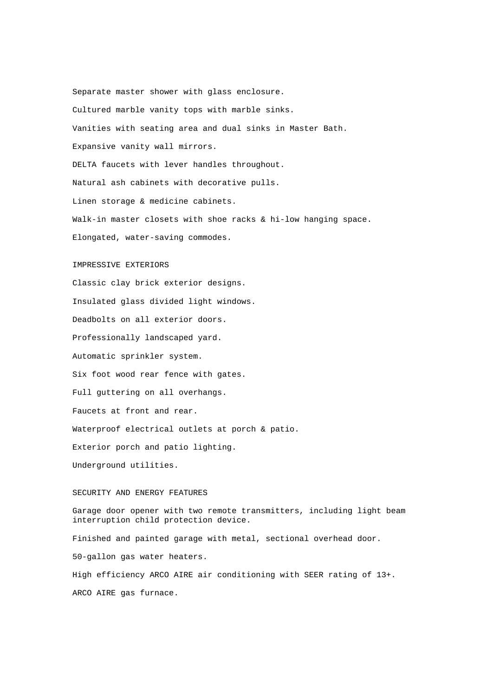Separate master shower with glass enclosure. Cultured marble vanity tops with marble sinks. Vanities with seating area and dual sinks in Master Bath. Expansive vanity wall mirrors. DELTA faucets with lever handles throughout. Natural ash cabinets with decorative pulls. Linen storage & medicine cabinets. Walk-in master closets with shoe racks & hi-low hanging space. Elongated, water-saving commodes.

### IMPRESSIVE EXTERIORS

Classic clay brick exterior designs. Insulated glass divided light windows. Deadbolts on all exterior doors. Professionally landscaped yard. Automatic sprinkler system. Six foot wood rear fence with gates. Full guttering on all overhangs. Faucets at front and rear. Waterproof electrical outlets at porch & patio. Exterior porch and patio lighting. Underground utilities.

# SECURITY AND ENERGY FEATURES

Garage door opener with two remote transmitters, including light beam interruption child protection device. Finished and painted garage with metal, sectional overhead door. 50-gallon gas water heaters. High efficiency ARCO AIRE air conditioning with SEER rating of 13+.

ARCO AIRE gas furnace.